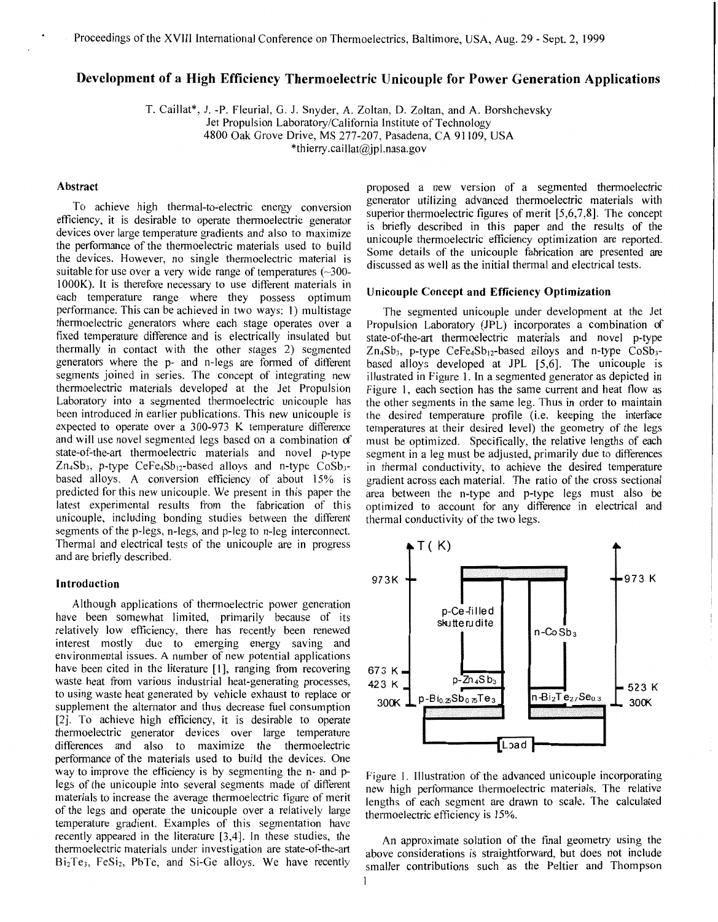# <span id="page-0-0"></span>**Development of a High Efficiency Thermoelectric Unicouple for Power Generation Applications**

T. Caillat\*, J. -P. Fleurial, G. J. Snyder, A. Zoltan, D. Zoltan, and A. Borshchevsky Jet Propulsion Laboratory/California Institute of Technology

4800 Oak Grove Drive, **MS** 277-207, Pasadena, CA 91 109, USA

[\\*thierry.caillat@jpl.nasa.gov](mailto:thierry.caillat@jpl.nasa.gov)

**Abstract** 

To achieve high thermal-to-electric energy conversion efficiency, it is desirable to operate thermoelectric generator devices over large temperature gradients and also to maximize the performance of the thermoelectric materials used to build the devices. However, no single thermoelectric material is suitable for use over a very wide range of temperatures  $(\sim]300$ -1000K). It is therefore necessary to use different materials in each temperature range where they possess optimum performance. This can be achieved in two ways: I) multistage thermoelectric generators where each stage operates over a fixed temperature difference and is electrically insulated but thermally in contact with the other stages 2) segmented generators where the p- and n-legs are formed of different segments joined in series. The concept of integrating new thermoelectric materials developed at the Jet Propulsion Laboratory into a segmented thermoelectric unicouple has been introduced in earlier publications. This new unicouple is expected to operate over a 300-973 K temperature difference and will use novel segmented legs based on a combination of state-of-the-art thermoelectric materials and novel p-type  $Zn_4Sb_3$ , p-type CeFe<sub>4</sub>Sb<sub>12</sub>-based alloys and n-type CoSb<sub>3</sub>based alloys. A conversion efficiency of about 15% is predicted for this new unicouple. We present in this paper the latest experimental results from the fabrication of this unicouple, including bonding studies between the different segments of the p-legs, n-legs, and p-leg to n-leg interconnect. Thermal and electrical tests of the unicouple are in progress and are briefly described.

#### **Introduction**

Although applications of thermoelectric power generation have been somewhat limited, primarily because of its relatively low efficiency, there has recently been renewed interest mostly due to emerging energy saving and environmental issues. **A** number of new potential applications have been cited in the literature [I], ranging from recovering waste heat from various industrial heat-generating processes, to using waste heat generated by vehicle exhaust to replace or supplement the alternator and thus decrease fuel consumption [2]. To achieve high efficiency, it is desirable to operate thermoelectric generator devices over large temperature differences and also to maximize the thermoelectric performance of the materials used to build the devices. One way to improve the efficiency is by segmenting the n- and plegs of the unicouple into several segments made of different materials to increase the average thermoelectric figure of merit of the legs and operate the unicouple over a relatively large temperature gradient. Examples of this segmentation have recently appeared in the literature [3,4]. In these studies, the thermoelectric materials under investigation are state-of-the-art  $Bi<sub>2</sub>Te<sub>3</sub>$ ,  $FeSi<sub>2</sub>$ ,  $PbTe$ , and Si-Ge alloys. We have recently

proposed a new version of a segmented thermoelectric generator utilizing advanced thermoelectric materials with superior thermoelectric figures of merit [5,6,7,8]. The concept is briefly described in this paper and the results of the unicouple thermoelectric efficiency optimization are reported. Some details of the unicouple fabrication are presented are discussed as well as the initial thermal and electrical tests.

#### **Unicouple Concept and Efficiency Optimization**

The segmented unicouple under development at the Jet Propulsion Laboratory (JPL) incorporates a combination of state-of-the-art thermoelectric materials and novel p-type  $Zn_4Sb_3$ , p-type CeFe<sub>4</sub>Sb<sub>12</sub>-based alloys and n-type CoSb<sub>3</sub>based alloys developed at JPL [5,6]. The unicouple is illustrated in Figure **1.** In a segmented generator as depicted in Figure I, each section has the same current and heat flow as the other segments in the same leg. Thus in order to maintain the desired temperature profile (i.e. keeping the interface temperatures at their desired level) the geometry of the legs must be optimized. Specifically, the relative lengths of each segment in a leg must be adjusted, primarily due to differences in thermal conductivity, to achieve the desired temperature gradient across each material. The ratio of the cross sectional area between the n-type and p-type legs must also be optimized to account for any difference in electrical and thermal conductivity of the two legs.



Figure **1.** Illustration of the advanced unicouple incorporating new high performance thermoelectric materials. The relative lengths of each segment are drawn to scale. The calculated thermoelectric efficiency is 15%.

An approximate solution of the final geometry using the above considerations is straightforward, but does not include smaller contributions uch as the Peltier and Thompson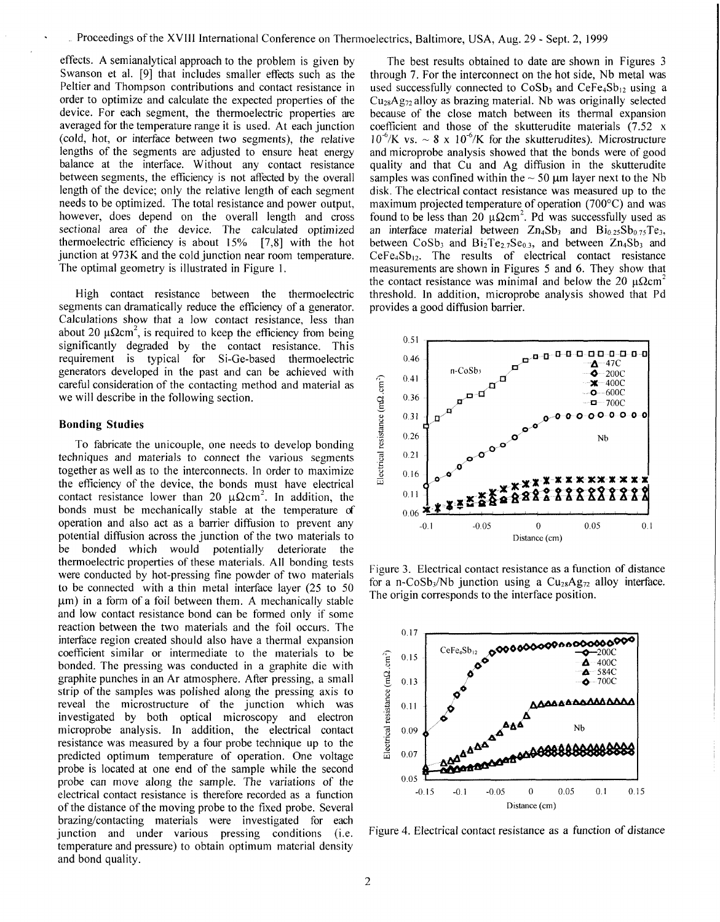effects. A semianalytical approach to the problem is given by Swanson et al. 191 that includes smaller effects such as the Peltier and Thompson contributions and contact resistance in order to optimize and calculate the expected properties of the device. For each segment, the thermoelectric properties are averaged for the temperature range it is used. At each junction (cold, hot, or interface between two segments), the relative lengths of the segments are adjusted to ensure heat energy balance at the interface. Without any contact resistance between segments, the efficiency is not affected by the overall length of the device; only the relative length of each segment needs to be optimized. The total resistance and power output, however, does depend on the overall length and cross sectional area of the device. The calculated optimized thermoelectric efficiency is about **15%** [7,8] with the hot junction at 973K and the cold junction near room temperature. The optimal geometry is illustrated in [Figure](#page-0-0) **1.** 

High contact resistance between the thermoelectric segments can dramatically reduce the efficiency of a generator. Calculations show that a low contact resistance, less than about 20  $\mu\Omega$ cm<sup>2</sup>, is required to keep the efficiency from being significantly degraded by the contact resistance. This requirement is typical for Si-Ge-based thermoelectric generators developed in the past and can be achieved with careful consideration of the contacting method and material as we will describe in the following section.

# **Bonding Studies**

To fabricate the unicouple, one needs to develop bonding techniques and materials to connect he various segments together as well as to the interconnects. In order to maximize the efficiency of the device, the bonds must have electrical contact resistance lower than 20  $\mu \Omega \text{cm}^2$ . In addition, the bonds must be mechanically stable at the temperature *of*  operation and also act as a barrier diffusion to prevent any potential diffusion across the junction of the two materials to be bonded which would potentially deteriorate the thermoelectric properties of these materials. All bonding tests were conducted by hot-pressing fine powder of two materials to be connected with a thin metal interface layer (25 to 50  $\mu$ m) in a form of a foil between them. A mechanically stable and low contact resistance bond can be formed only if some reaction between the two materials and the foil occurs. The interface region created should also have a thermal expansion coefficient similar or intermediate to the materials to be bonded. The pressing was conducted in a graphite die with graphite punches in an Ar atmosphere. Afier pressing, a small strip of the samples was polished along the pressing axis to reveal the microstructure of the junction which was investigated by both optical microscopy and electron microprobe analysis. In addition, the electrical contact resistance was measured by a four probe technique up to the predicted optimum temperature of operation. One voltage probe is located at one end of the sample while the second probe can move along the sample. The variations of the electrical contact resistance is therefore recorded as a function of the distance of the moving probe to the fixed probe. Several brazing/contacting materials were investigated for each junction and under various pressing conditions (i.e. temperature and pressure) to obtain optimum material density and bond quality.

The best results obtained to date are shown in Figures 3 through 7. For the interconnect on the hot side, Nb metal was used successfully connected to  $CoSb<sub>3</sub>$  and  $CeFe<sub>4</sub>Sb<sub>12</sub>$  using a  $Cu<sub>28</sub>Ag<sub>22</sub>$  alloy as brazing material. Nb was originally selected because of the close match between its thermal expansion coefficient and those of the skutterudite materials (7.52 x  $10^{-6}/K$  vs.  $\sim 8 \times 10^{-6}/K$  for the skutterudites). Microstructure and microprobe analysis showed that the bonds were of good quality and that Cu and Ag diffusion in the skutterudite samples was confined within the  $\sim$  50  $\mu$ m layer next to the Nb disk. The electrical contact resistance was measured up to the maximum projected temperature of operation (700°C) and was found to be less than 20  $\mu\Omega \text{cm}^2$ . Pd was successfully used as an interface material between  $Zn_4Sb_3$  and  $Bi_{0.25}Sb_{0.75}Te_3$ . between  $CoSb_3$  and  $Bi_2Te_2.5Se_03$ , and between  $Zn_4Sb_3$  and  $CeFe<sub>4</sub>Sh<sub>12</sub>$ . The results of electrical contact resistance measurements are shown in Figures 5 and **6.** They show that the contact resistance was minimal and below the 20  $\mu\Omega$ cm<sup>2</sup> threshold. In addition, microprobe analysis showed that Pd provides a good diffusion barrier.



Figure 3. Electrical contact resistance as a function of distance for a n-CoSb,/Nb junction using a  $Cu<sub>28</sub>Ag<sub>72</sub>$  alloy interface. The origin corresponds to the interface position.



Figure 4. Electrical contact resistance as a function of distance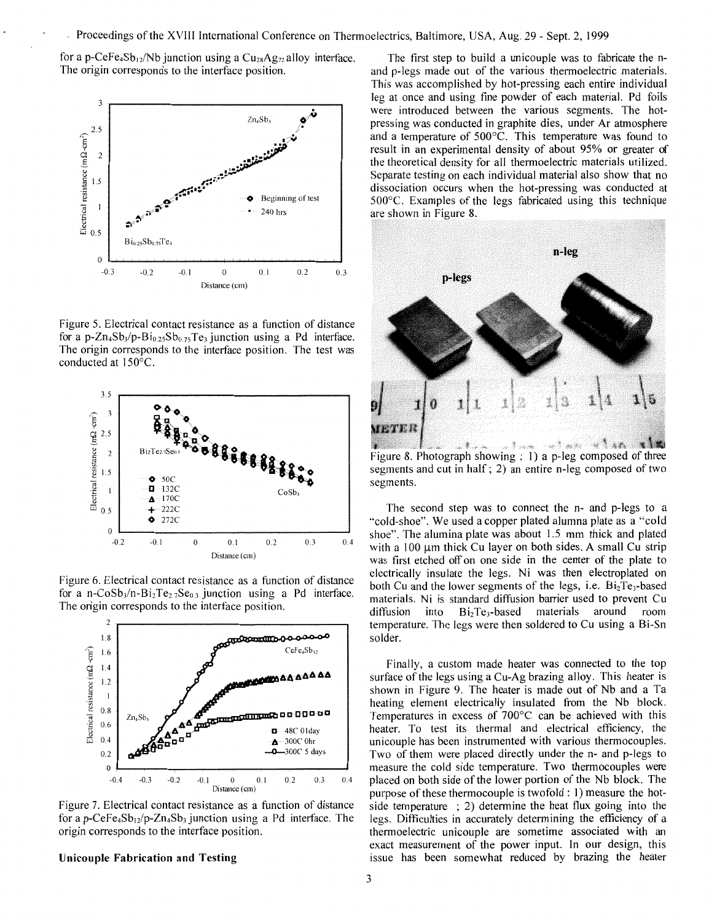for a p-CeFe<sub>4</sub>Sb<sub>12</sub>/Nb junction using a Cu<sub>28</sub>Ag<sub>72</sub> alloy interface. The origin corresponds to the interface position.



Figure 5. Electrical contact resistance as a function of distance for a p-Zn<sub>4</sub>Sb<sub>3</sub>/p-Bi<sub>0.25</sub>Sb<sub>0.75</sub>Te<sub>3</sub> junction using a Pd interface. The origin corresponds to the interface position. The test was conducted at 150°C.



Figure 6. Electrical contact resistance as a fimction of distance for a n-CoSb $\sqrt{n}$ -Bi $\sqrt{2}$ Te<sub>2 7</sub>Se<sub>03</sub> junction using a Pd interface. The origin corresponds to the interface position.



Figure 7. Electrical contact resistance as a function of distance for a p-CeFe<sub>4</sub>Sb<sub>12</sub>/p-Zn<sub>4</sub>Sb<sub>3</sub> junction using a Pd interface. The origin corresponds to the interface position.

## **Unicouple Fabrication and Testing**

The first step to build a unicouple was to fabricate the nand p-legs made out of the various thermoelectric materials. This was accomplished by hot-pressing each entire individual leg at once and using fine powder of each material. Pd foils were introduced between the various egments. The hotpressing was conducted in graphite dies, under Ar atmosphere and a temperature of 500°C. This temperature was found to result in an experimental density of about 95% or greater *of*  the theoretical density for all thermoelectric materials utilized. Separate testing on each individual material also show that no dissociation occurs when the hot-pressing was conducted at 500°C. Examples of the legs fabricated using this technique



Figure 8. Photograph showing : 1) a p-leg composed of three segments and cut in half; *2)* an entire n-leg composed of two segments.

The second step was to connect the n- and p-legs to a "cold-shoe". We used a copper plated alumna plate as a "cold shoe". The alumina plate was about 1.5 mm thick and plated with a 100 um thick Cu layer on both sides. A small Cu strip was first etched off on one side in the center of the plate to electrically insulate the legs. Ni was then electroplated on both Cu and the lower segments of the legs, i.e.  $Bi<sub>2</sub>Te<sub>3</sub>$ -based materials. Ni is standard diffusion barrier used to prevent Cu diffusion into Bi<sub>2</sub>Te<sub>3</sub>-based materials around room temperature. The legs were then soldered to Cu using a Bi-Sn solder.

Finally, a custom made heater was connected to the top surface of the legs using a Cu-Ag brazing alloy. This heater is shown in [Figure 9.](#page-3-0) The heater is made out of Nb and a Ta heating element electrically insulated from the Nb block. Temperatures in excess of 700°C can be achieved with this heater. To test its thermal and electrical efficiency, the unicouple has been instrumented with various thermocouples. Two of them were placed directly under the n- and p-legs to measure the cold side temperature. Two thermocouples were placed on both side of the lower portion of the Nb block. The purpose of these thermocouple is twofold : 1) measure the hotside temperature ; 2) determine the heat flux going into the legs. Difficulties in accurately determining the efficiency of a thermoelectric unicouple are sometime associated with an exact measurement of the power input. In our design, this issue has been somewhat reduced by brazing the heater